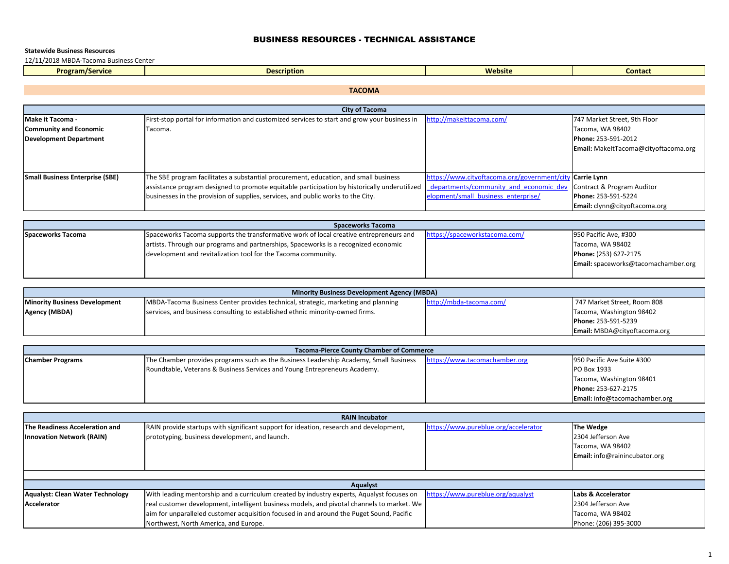# BUSINESS RESOURCES - TECHNICAL ASSISTANCE

### **Statewide Business Resources**

12/11/2018 MBDA‐Tacoma Business Center

| . .<br><b>Program/Service</b> | <u>ucription a</u><br>---- | <b>Website</b> | <b>Contact</b> |
|-------------------------------|----------------------------|----------------|----------------|
|                               |                            |                |                |

**TACOMA**

| <b>City of Tacoma</b>           |                                                                                              |                                              |                                      |
|---------------------------------|----------------------------------------------------------------------------------------------|----------------------------------------------|--------------------------------------|
| <b>Make it Tacoma -</b>         | First-stop portal for information and customized services to start and grow your business in | http://makeittacoma.com/                     | 747 Market Street, 9th Floor         |
| <b>Community and Economic</b>   | Tacoma.                                                                                      |                                              | Tacoma, WA 98402                     |
| <b>Development Department</b>   |                                                                                              |                                              | Phone: 253-591-2012                  |
|                                 |                                                                                              |                                              | Email: MakeltTacoma@cityoftacoma.org |
|                                 |                                                                                              |                                              |                                      |
|                                 |                                                                                              |                                              |                                      |
| Small Business Enterprise (SBE) | The SBE program facilitates a substantial procurement, education, and small business         | https://www.cityoftacoma.org/government/city | / Carrie Lynn                        |
|                                 | assistance program designed to promote equitable participation by historically underutilized | departments/community and economic dev       | Contract & Program Auditor           |
|                                 | businesses in the provision of supplies, services, and public works to the City.             | elopment/small business enterprise/          | Phone: 253-591-5224                  |
|                                 |                                                                                              |                                              | Email: clynn@cityoftacoma.org        |

| <b>Spaceworks Tacoma</b> |                                                                                        |                               |                                            |
|--------------------------|----------------------------------------------------------------------------------------|-------------------------------|--------------------------------------------|
| Spaceworks Tacoma        | Spaceworks Tacoma supports the transformative work of local creative entrepreneurs and | https://spaceworkstacoma.com/ | 950 Pacific Ave, #300                      |
|                          | artists. Through our programs and partnerships, Spaceworks is a recognized economic    |                               | Tacoma, WA 98402                           |
|                          | development and revitalization tool for the Tacoma community.                          |                               | Phone: (253) 627-2175                      |
|                          |                                                                                        |                               | <b>Email:</b> spaceworks@tacomachamber.org |
|                          |                                                                                        |                               |                                            |

| <b>Minority Business Development Agency (MBDA)</b> |                                                                                   |                         |                                     |
|----------------------------------------------------|-----------------------------------------------------------------------------------|-------------------------|-------------------------------------|
| <b>Minority Business Development</b>               | MBDA-Tacoma Business Center provides technical, strategic, marketing and planning | http://mbda-tacoma.com/ | 747 Market Street, Room 808         |
| Agency (MBDA)                                      | services, and business consulting to established ethnic minority-owned firms.     |                         | Tacoma, Washington 98402            |
|                                                    |                                                                                   |                         | Phone: 253-591-5239                 |
|                                                    |                                                                                   |                         | <b>Email:</b> MBDA@cityoftacoma.org |

| <b>Tacoma-Pierce County Chamber of Commerce</b> |                                                                                       |                               |                               |
|-------------------------------------------------|---------------------------------------------------------------------------------------|-------------------------------|-------------------------------|
| <b>Chamber Programs</b>                         | The Chamber provides programs such as the Business Leadership Academy, Small Business | https://www.tacomachamber.org | 950 Pacific Ave Suite #300    |
|                                                 | Roundtable, Veterans & Business Services and Young Entrepreneurs Academy.             |                               | PO Box 1933                   |
|                                                 |                                                                                       |                               | Tacoma, Washington 98401      |
|                                                 |                                                                                       |                               | Phone: 253-627-2175           |
|                                                 |                                                                                       |                               | Email: info@tacomachamber.org |

|                                       | <b>RAIN Incubator</b>                                                                      |                                      |                               |  |
|---------------------------------------|--------------------------------------------------------------------------------------------|--------------------------------------|-------------------------------|--|
| <b>The Readiness Acceleration and</b> | RAIN provide startups with significant support for ideation, research and development,     | https://www.pureblue.org/accelerator | The Wedge                     |  |
| <b>Innovation Network (RAIN)</b>      | prototyping, business development, and launch.                                             |                                      | 2304 Jefferson Ave            |  |
|                                       |                                                                                            |                                      | Tacoma, WA 98402              |  |
|                                       |                                                                                            |                                      | Email: info@rainincubator.org |  |
|                                       |                                                                                            |                                      |                               |  |
|                                       |                                                                                            |                                      |                               |  |
|                                       | Aqualyst                                                                                   |                                      |                               |  |
| Aqualyst: Clean Water Technology      | With leading mentorship and a curriculum created by industry experts, Aqualyst focuses on  | https://www.pureblue.org/aqualyst    | Labs & Accelerator            |  |
| Accelerator                           | real customer development, intelligent business models, and pivotal channels to market. We |                                      | 2304 Jefferson Ave            |  |
|                                       | aim for unparalleled customer acquisition focused in and around the Puget Sound, Pacific   |                                      | Tacoma, WA 98402              |  |
|                                       | Northwest, North America, and Europe.                                                      |                                      | Phone: (206) 395-3000         |  |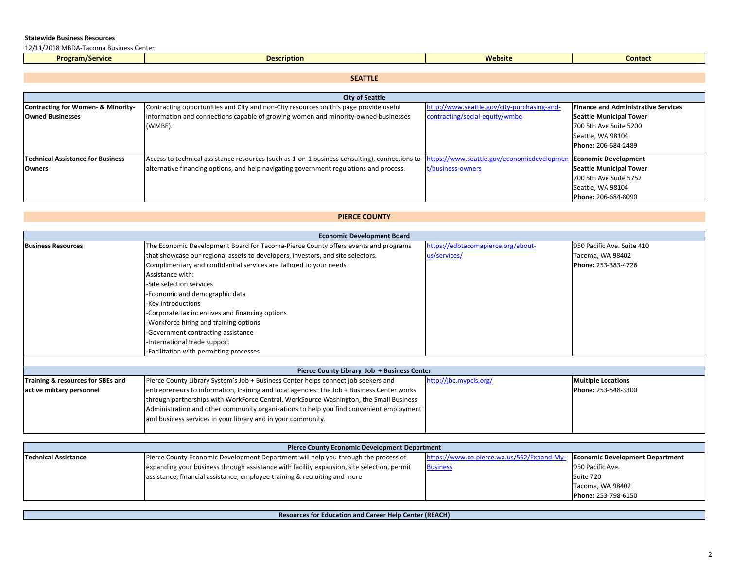12/11/2018 MBDA‐Tacoma Business Center

| <b>Program/Service</b> | Description. | Website | Contact |
|------------------------|--------------|---------|---------|
|                        |              |         |         |

# **SEATTLE**

| <b>City of Seattle</b>             |                                                                                               |                                             |                                            |
|------------------------------------|-----------------------------------------------------------------------------------------------|---------------------------------------------|--------------------------------------------|
| Contracting for Women- & Minority- | Contracting opportunities and City and non-City resources on this page provide useful         | http://www.seattle.gov/city-purchasing-and- | <b>Finance and Administrative Services</b> |
| <b>Owned Businesses</b>            | information and connections capable of growing women and minority-owned businesses            | contracting/social-equity/wmbe              | <b>Seattle Municipal Tower</b>             |
|                                    | (WMBE).                                                                                       |                                             | 700 5th Ave Suite 5200                     |
|                                    |                                                                                               |                                             | Seattle, WA 98104                          |
|                                    |                                                                                               |                                             | Phone: 206-684-2489                        |
| Technical Assistance for Business  | Access to technical assistance resources (such as 1-on-1 business consulting), connections to | https://www.seattle.gov/economicdevelopmen  | <b>Economic Development</b>                |
| Owners                             | alternative financing options, and help navigating government regulations and process.        | t/business-owners                           | <b>Seattle Municipal Tower</b>             |
|                                    |                                                                                               |                                             | 700 5th Ave Suite 5752                     |
|                                    |                                                                                               |                                             | Seattle, WA 98104                          |
|                                    |                                                                                               |                                             | Phone: 206-684-8090                        |

# **PIERCE COUNTY**

|                                   | <b>Economic Development Board</b>                                                          |                                    |                            |
|-----------------------------------|--------------------------------------------------------------------------------------------|------------------------------------|----------------------------|
| <b>Business Resources</b>         | The Economic Development Board for Tacoma-Pierce County offers events and programs         | https://edbtacomapierce.org/about- | 950 Pacific Ave. Suite 410 |
|                                   | that showcase our regional assets to developers, investors, and site selectors.            | us/services/                       | Tacoma, WA 98402           |
|                                   | Complimentary and confidential services are tailored to your needs.                        |                                    | Phone: 253-383-4726        |
|                                   | Assistance with:                                                                           |                                    |                            |
|                                   | -Site selection services                                                                   |                                    |                            |
|                                   | -Economic and demographic data                                                             |                                    |                            |
|                                   | -Key introductions                                                                         |                                    |                            |
|                                   | -Corporate tax incentives and financing options                                            |                                    |                            |
|                                   | -Workforce hiring and training options                                                     |                                    |                            |
|                                   | -Government contracting assistance                                                         |                                    |                            |
|                                   | -International trade support                                                               |                                    |                            |
|                                   | -Facilitation with permitting processes                                                    |                                    |                            |
|                                   |                                                                                            |                                    |                            |
|                                   | Pierce County Library Job + Business Center                                                |                                    |                            |
| Training & resources for SBEs and | Pierce County Library System's Job + Business Center helps connect job seekers and         | http://jbc.mypcls.org/             | <b>Multiple Locations</b>  |
| active military personnel         | entrepreneurs to information, training and local agencies. The Job + Business Center works |                                    | Phone: 253-548-3300        |

| active military personnel | entrepreneurs to information, training and local agencies. The Job + Business Center works | Phone: 253-548-3300 |
|---------------------------|--------------------------------------------------------------------------------------------|---------------------|
|                           | through partnerships with WorkForce Central, WorkSource Washington, the Small Business     |                     |
|                           | Administration and other community organizations to help you find convenient employment    |                     |
|                           | and business services in your library and in your community.                               |                     |
|                           |                                                                                            |                     |

| <b>Pierce County Economic Development Department</b> |                                                                                            |                                           |                                        |
|------------------------------------------------------|--------------------------------------------------------------------------------------------|-------------------------------------------|----------------------------------------|
| <b>Technical Assistance</b>                          | Pierce County Economic Development Department will help you through the process of         | https://www.co.pierce.wa.us/562/Expand-My | <b>Economic Development Department</b> |
|                                                      | expanding your business through assistance with facility expansion, site selection, permit | <b>Business</b>                           | 950 Pacific Ave.                       |
|                                                      | assistance, financial assistance, employee training & recruiting and more                  |                                           | Suite 720                              |
|                                                      |                                                                                            |                                           | Tacoma, WA 98402                       |
|                                                      |                                                                                            |                                           | Phone: 253-798-6150                    |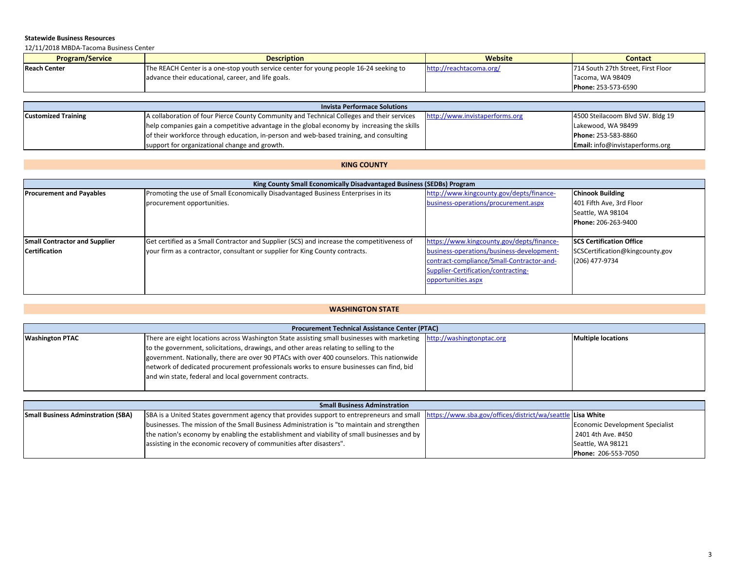12/11/2018 MBDA‐Tacoma Business Center

| <b>Program/Service</b> | <b>Description</b>                                                                    | Website                 | <b>Contact</b>                     |
|------------------------|---------------------------------------------------------------------------------------|-------------------------|------------------------------------|
| Reach Center           | The REACH Center is a one-stop youth service center for young people 16-24 seeking to | http://reachtacoma.org/ | 714 South 27th Street, First Floor |
|                        | advance their educational, career, and life goals.                                    |                         | Tacoma, WA 98409                   |
|                        |                                                                                       |                         | Phone: 253-573-6590                |

| <b>Invista Performace Solutions</b> |                                                                                            |                                |                                        |
|-------------------------------------|--------------------------------------------------------------------------------------------|--------------------------------|----------------------------------------|
| <b>Customized Training</b>          | A collaboration of four Pierce County Community and Technical Colleges and their services  | http://www.invistaperforms.org | 4500 Steilacoom Blvd SW. Bldg 19       |
|                                     | help companies gain a competitive advantage in the global economy by increasing the skills |                                | Lakewood, WA 98499                     |
|                                     | of their workforce through education, in-person and web-based training, and consulting     |                                | Phone: 253-583-8860                    |
|                                     | support for organizational change and growth.                                              |                                | <b>Email:</b> info@invistaperforms.org |

## **KING COUNTY**

| King County Small Economically Disadvantaged Business (SEDBs) Program |                                                                                            |                                           |                                  |
|-----------------------------------------------------------------------|--------------------------------------------------------------------------------------------|-------------------------------------------|----------------------------------|
| <b>Procurement and Payables</b>                                       | Promoting the use of Small Economically Disadvantaged Business Enterprises in its          | http://www.kingcounty.gov/depts/finance-  | <b>Chinook Building</b>          |
|                                                                       | procurement opportunities.                                                                 | business-operations/procurement.aspx      | 401 Fifth Ave, 3rd Floor         |
|                                                                       |                                                                                            |                                           | Seattle, WA 98104                |
|                                                                       |                                                                                            |                                           | Phone: 206-263-9400              |
|                                                                       |                                                                                            |                                           |                                  |
| <b>Small Contractor and Supplier</b>                                  | Get certified as a Small Contractor and Supplier (SCS) and increase the competitiveness of | https://www.kingcounty.gov/depts/finance- | <b>ISCS Certification Office</b> |
| <b>Certification</b>                                                  | your firm as a contractor, consultant or supplier for King County contracts.               | business-operations/business-development- | SCSCertification@kingcounty.gov  |
|                                                                       |                                                                                            | contract-compliance/Small-Contractor-and- | (206) 477-9734                   |
|                                                                       |                                                                                            | Supplier-Certification/contracting-       |                                  |
|                                                                       |                                                                                            | opportunities.aspx                        |                                  |
|                                                                       |                                                                                            |                                           |                                  |

# **WASHINGTON STATE**

|                        | <b>Procurement Technical Assistance Center (PTAC)</b>                                                                 |  |                           |  |
|------------------------|-----------------------------------------------------------------------------------------------------------------------|--|---------------------------|--|
| <b>Washington PTAC</b> | There are eight locations across Washington State assisting small businesses with marketing http://washingtonptac.org |  | <b>Multiple locations</b> |  |
|                        | to the government, solicitations, drawings, and other areas relating to selling to the                                |  |                           |  |
|                        | government. Nationally, there are over 90 PTACs with over 400 counselors. This nationwide                             |  |                           |  |
|                        | network of dedicated procurement professionals works to ensure businesses can find, bid                               |  |                           |  |
|                        | and win state, federal and local government contracts.                                                                |  |                           |  |
|                        |                                                                                                                       |  |                           |  |

| <b>Small Business Adminstration</b> |                                                                                                                                           |  |                                 |
|-------------------------------------|-------------------------------------------------------------------------------------------------------------------------------------------|--|---------------------------------|
| Small Business Adminstration (SBA)  | SBA is a United States government agency that provides support to entrepreneurs and small https://www.sba.gov/offices/district/wa/seattle |  | e Lisa White                    |
|                                     | businesses. The mission of the Small Business Administration is "to maintain and strengthen                                               |  | Economic Development Specialist |
|                                     | the nation's economy by enabling the establishment and viability of small businesses and by                                               |  | 2401 4th Ave. #450              |
|                                     | assisting in the economic recovery of communities after disasters".                                                                       |  | Seattle, WA 98121               |
|                                     |                                                                                                                                           |  | <b>Phone: 206-553-7050</b>      |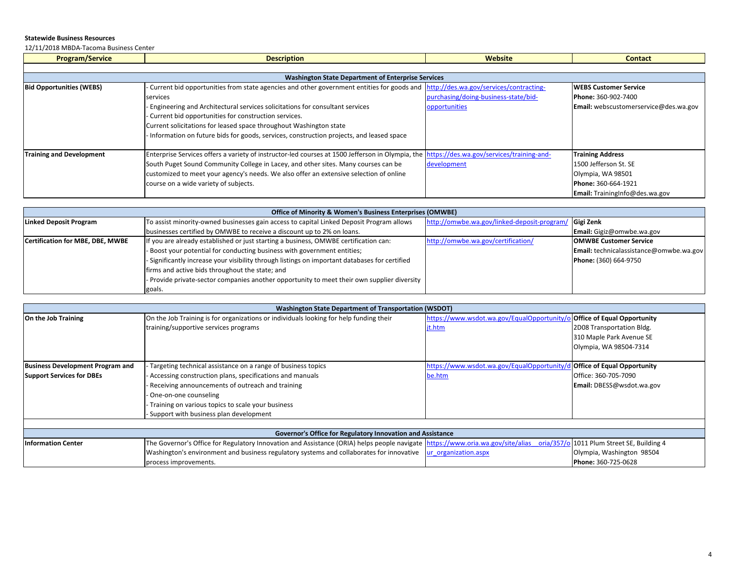12/11/2018 MBDA‐Tacoma Business Center

| <b>Program/Service</b>          | <b>Description</b>                                                                                                                                                                                                                                                                                                                                                                                                                                               | Website                                               | <b>Contact</b>                                                                                                                 |
|---------------------------------|------------------------------------------------------------------------------------------------------------------------------------------------------------------------------------------------------------------------------------------------------------------------------------------------------------------------------------------------------------------------------------------------------------------------------------------------------------------|-------------------------------------------------------|--------------------------------------------------------------------------------------------------------------------------------|
|                                 |                                                                                                                                                                                                                                                                                                                                                                                                                                                                  |                                                       |                                                                                                                                |
|                                 | <b>Washington State Department of Enterprise Services</b>                                                                                                                                                                                                                                                                                                                                                                                                        |                                                       |                                                                                                                                |
| <b>Bid Opportunities (WEBS)</b> | - Current bid opportunities from state agencies and other government entities for goods and http://des.wa.gov/services/contracting-<br>services<br>- Engineering and Architectural services solicitations for consultant services<br>- Current bid opportunities for construction services.<br>Current solicitations for leased space throughout Washington state                                                                                                | purchasing/doing-business-state/bid-<br>opportunities | <b>WEBS Customer Service</b><br>Phone: 360-902-7400<br>Email: webscustomerservice@des.wa.gov                                   |
| <b>Training and Development</b> | - Information on future bids for goods, services, construction projects, and leased space<br>Enterprise Services offers a variety of instructor-led courses at 1500 Jefferson in Olympia, the https://des.wa.gov/services/training-and-<br>South Puget Sound Community College in Lacey, and other sites. Many courses can be<br>customized to meet your agency's needs. We also offer an extensive selection of online<br>course on a wide variety of subjects. | development                                           | <b>Training Address</b><br>1500 Jefferson St. SE<br>Olympia, WA 98501<br>Phone: 360-664-1921<br>Email: TrainingInfo@des.wa.gov |

| Office of Minority & Women's Business Enterprises (OMWBE) |                                                                                                |                                                       |                                                |
|-----------------------------------------------------------|------------------------------------------------------------------------------------------------|-------------------------------------------------------|------------------------------------------------|
| Linked Deposit Program                                    | To assist minority-owned businesses gain access to capital Linked Deposit Program allows       | http://omwbe.wa.gov/linked-deposit-program/ Gigi Zenk |                                                |
|                                                           | businesses certified by OMWBE to receive a discount up to 2% on loans.                         |                                                       | Email: Gigiz@omwbe.wa.gov                      |
| Certification for MBE, DBE, MWBE                          | If you are already established or just starting a business, OMWBE certification can:           | http://omwbe.wa.gov/certification/                    | <b>OMWBE Customer Service</b>                  |
|                                                           | - Boost your potential for conducting business with government entities;                       |                                                       | <b>Email:</b> technicalassistance@omwbe.wa.gov |
|                                                           | - Significantly increase your visibility through listings on important databases for certified |                                                       | Phone: (360) 664-9750                          |
|                                                           | firms and active bids throughout the state; and                                                |                                                       |                                                |
|                                                           | - Provide private-sector companies another opportunity to meet their own supplier diversity    |                                                       |                                                |
|                                                           | goals.                                                                                         |                                                       |                                                |

|                                         | <b>Washington State Department of Transportation (WSDOT)</b>                                                                                                               |                                                                         |                           |  |  |
|-----------------------------------------|----------------------------------------------------------------------------------------------------------------------------------------------------------------------------|-------------------------------------------------------------------------|---------------------------|--|--|
| On the Job Training                     | On the Job Training is for organizations or individuals looking for help funding their                                                                                     | https://www.wsdot.wa.gov/EqualOpportunity/o Office of Equal Opportunity |                           |  |  |
|                                         | training/supportive services programs                                                                                                                                      | jt.htm                                                                  | 2D08 Transportation Bldg. |  |  |
|                                         |                                                                                                                                                                            |                                                                         | 310 Maple Park Avenue SE  |  |  |
|                                         |                                                                                                                                                                            |                                                                         | Olympia, WA 98504-7314    |  |  |
|                                         |                                                                                                                                                                            |                                                                         |                           |  |  |
| <b>Business Development Program and</b> | Targeting technical assistance on a range of business topics                                                                                                               | https://www.wsdot.wa.gov/EqualOpportunity/d Office of Equal Opportunity |                           |  |  |
| <b>Support Services for DBEs</b>        | Accessing construction plans, specifications and manuals                                                                                                                   | be.htm                                                                  | Office: 360-705-7090      |  |  |
|                                         | Receiving announcements of outreach and training                                                                                                                           |                                                                         | Email: DBESS@wsdot.wa.gov |  |  |
|                                         | One-on-one counseling                                                                                                                                                      |                                                                         |                           |  |  |
|                                         | Training on various topics to scale your business                                                                                                                          |                                                                         |                           |  |  |
|                                         | Support with business plan development                                                                                                                                     |                                                                         |                           |  |  |
|                                         |                                                                                                                                                                            |                                                                         |                           |  |  |
|                                         | Governor's Office for Regulatory Innovation and Assistance                                                                                                                 |                                                                         |                           |  |  |
| <b>Information Center</b>               | The Governor's Office for Regulatory Innovation and Assistance (ORIA) helps people navigate  https://www.oria.wa.gov/site/alias oria/357/0 1011 Plum Street SE, Building 4 |                                                                         |                           |  |  |
|                                         | Washington's environment and business regulatory systems and collaborates for innovative $\ $ ur organization.aspx                                                         |                                                                         | Olympia, Washington 98504 |  |  |
|                                         | process improvements.                                                                                                                                                      |                                                                         | Phone: 360-725-0628       |  |  |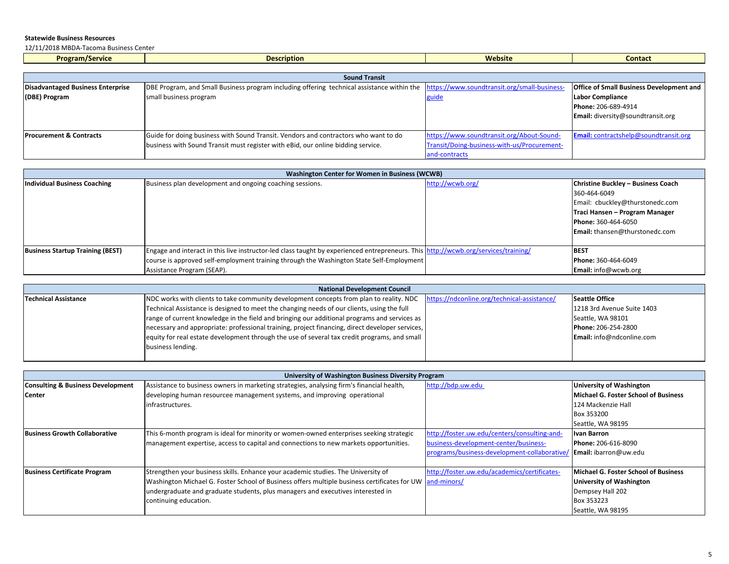12/11/2018 MBDA‐Tacoma Business Center

| <b>Program/Service</b>                   | <b>Description</b>                                                                         | Website                                      | <b>Contact</b>                                  |
|------------------------------------------|--------------------------------------------------------------------------------------------|----------------------------------------------|-------------------------------------------------|
|                                          |                                                                                            |                                              |                                                 |
|                                          | <b>Sound Transit</b>                                                                       |                                              |                                                 |
| <b>Disadvantaged Business Enterprise</b> | DBE Program, and Small Business program including offering technical assistance within the | https://www.soundtransit.org/small-business- | <b>Office of Small Business Development and</b> |
| (DBE) Program                            | small business program                                                                     | guide                                        | <b>Labor Compliance</b>                         |
|                                          |                                                                                            |                                              | Phone: 206-689-4914                             |
|                                          |                                                                                            |                                              | <b>Email:</b> diversity@soundtransit.org        |
|                                          |                                                                                            |                                              |                                                 |
| <b>Procurement &amp; Contracts</b>       | Guide for doing business with Sound Transit. Vendors and contractors who want to do        | https://www.soundtransit.org/About-Sound-    | <b>Email:</b> contractshelp@soundtransit.org    |
|                                          | business with Sound Transit must register with eBid, our online bidding service.           | Transit/Doing-business-with-us/Procurement-  |                                                 |
|                                          |                                                                                            | and-contracts                                |                                                 |

| <b>Washington Center for Women in Business (WCWB)</b> |                                                                                                                                     |                  |                                       |
|-------------------------------------------------------|-------------------------------------------------------------------------------------------------------------------------------------|------------------|---------------------------------------|
| Individual Business Coaching                          | Business plan development and ongoing coaching sessions.                                                                            | http://wcwb.org/ | Christine Buckley - Business Coach    |
|                                                       |                                                                                                                                     |                  | 360-464-6049                          |
|                                                       |                                                                                                                                     |                  | Email: cbuckley@thurstonedc.com       |
|                                                       |                                                                                                                                     |                  | Traci Hansen - Program Manager        |
|                                                       |                                                                                                                                     |                  | Phone: 360-464-6050                   |
|                                                       |                                                                                                                                     |                  | <b>Email:</b> thansen@thurstonedc.com |
|                                                       |                                                                                                                                     |                  |                                       |
| <b>Business Startup Training (BEST)</b>               | Engage and interact in this live instructor-led class taught by experienced entrepreneurs. This  http://wcwb.org/services/training/ |                  | <b>BEST</b>                           |
|                                                       | course is approved self-employment training through the Washington State Self-Employment                                            |                  | <b>Phone: 360-464-6049</b>            |
|                                                       | Assistance Program (SEAP).                                                                                                          |                  | <b>Email:</b> $info@wcwb.org$         |

| <b>National Development Council</b> |                                                                                                 |                                             |                                  |
|-------------------------------------|-------------------------------------------------------------------------------------------------|---------------------------------------------|----------------------------------|
| <b>Technical Assistance</b>         | INDC works with clients to take community development concepts from plan to reality. NDC        | https://ndconline.org/technical-assistance/ | <b>Seattle Office</b>            |
|                                     | Technical Assistance is designed to meet the changing needs of our clients, using the full      |                                             | 1218 3rd Avenue Suite 1403       |
|                                     | range of current knowledge in the field and bringing our additional programs and services as    |                                             | Seattle, WA 98101                |
|                                     | necessary and appropriate: professional training, project financing, direct developer services, |                                             | Phone: 206-254-2800              |
|                                     | equity for real estate development through the use of several tax credit programs, and small    |                                             | <b>Email:</b> info@ndconline.com |
|                                     | business lending.                                                                               |                                             |                                  |
|                                     |                                                                                                 |                                             |                                  |

|                                              | University of Washington Business Diversity Program                                                      |                                              |                                      |  |
|----------------------------------------------|----------------------------------------------------------------------------------------------------------|----------------------------------------------|--------------------------------------|--|
| <b>Consulting &amp; Business Development</b> | Assistance to business owners in marketing strategies, analysing firm's financial health,                | http://bdp.uw.edu                            | <b>University of Washington</b>      |  |
| <b>Center</b>                                | developing human resourcee management systems, and improving operational                                 |                                              | Michael G. Foster School of Business |  |
|                                              | linfrastructures.                                                                                        |                                              | 124 Mackenzie Hall                   |  |
|                                              |                                                                                                          |                                              | Box 353200                           |  |
|                                              |                                                                                                          |                                              | Seattle, WA 98195                    |  |
| <b>Business Growth Collaborative</b>         | This 6-month program is ideal for minority or women-owned enterprises seeking strategic                  | http://foster.uw.edu/centers/consulting-and- | Ivan Barron                          |  |
|                                              | management expertise, access to capital and connections to new markets opportunities.                    | business-development-center/business-        | Phone: 206-616-8090                  |  |
|                                              |                                                                                                          | programs/business-development-collaborative/ | Email: ibarron@uw.edu                |  |
|                                              |                                                                                                          |                                              |                                      |  |
| <b>Business Certificate Program</b>          | Strengthen your business skills. Enhance your academic studies. The University of                        | http://foster.uw.edu/academics/certificates- | Michael G. Foster School of Business |  |
|                                              | Washington Michael G. Foster School of Business offers multiple business certificates for UW and-minors/ |                                              | <b>University of Washington</b>      |  |
|                                              | undergraduate and graduate students, plus managers and executives interested in                          |                                              | Dempsey Hall 202                     |  |
|                                              | continuing education.                                                                                    |                                              | Box 353223                           |  |
|                                              |                                                                                                          |                                              | Seattle, WA 98195                    |  |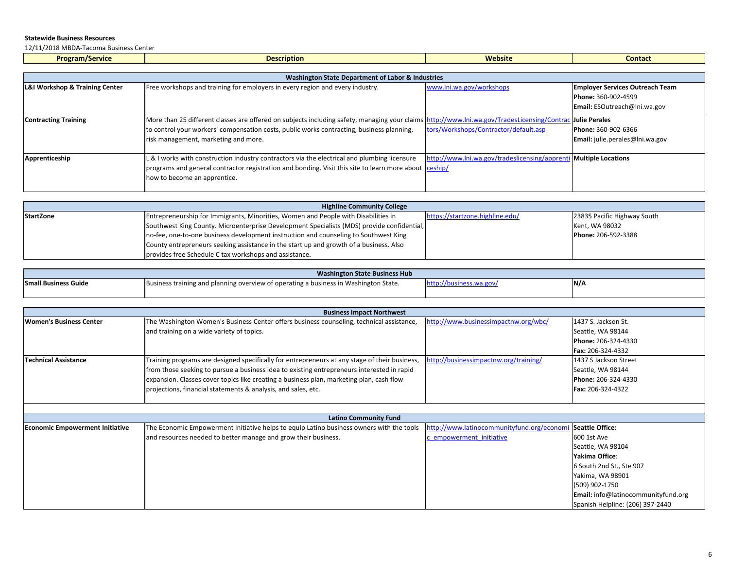12/11/2018 MBDA‐Tacoma Business Center

| <b>Program/Service</b> | <b>Description</b>                                           | <b>Website</b> | <b>Contact</b> |  |  |
|------------------------|--------------------------------------------------------------|----------------|----------------|--|--|
|                        |                                                              |                |                |  |  |
|                        | <b>Washington State Department of Labor &amp; Industries</b> |                |                |  |  |

| L&I Workshop & Training Center | Free workshops and training for employers in every region and every industry.                                                                                                                                                                                                                  | www.lni.wa.gov/workshops                                          | <b>Employer Services Outreach Team</b><br>Phone: 360-902-4599<br>Email: ESOutreach@Ini.wa.gov |
|--------------------------------|------------------------------------------------------------------------------------------------------------------------------------------------------------------------------------------------------------------------------------------------------------------------------------------------|-------------------------------------------------------------------|-----------------------------------------------------------------------------------------------|
| <b>Contracting Training</b>    | More than 25 different classes are offered on subjects including safety, managing your claims http://www.lni.wa.gov/TradesLicensing/Contrac Julie Perales<br>to control your workers' compensation costs, public works contracting, business planning,<br>risk management, marketing and more. | tors/Workshops/Contractor/default.asp                             | Phone: 360-902-6366<br>Email: julie.perales@lni.wa.gov                                        |
| Apprenticeship                 | L & I works with construction industry contractors via the electrical and plumbing licensure<br>programs and general contractor registration and bonding. Visit this site to learn more about ceship/<br>how to become an apprentice.                                                          | http://www.lni.wa.gov/tradeslicensing/apprenti Multiple Locations |                                                                                               |

| <b>Highline Community College</b> |                                                                                            |                                 |                             |  |
|-----------------------------------|--------------------------------------------------------------------------------------------|---------------------------------|-----------------------------|--|
| <b>StartZone</b>                  | Entrepreneurship for Immigrants, Minorities, Women and People with Disabilities in         | https://startzone.highline.edu/ | 23835 Pacific Highway South |  |
|                                   | Southwest King County. Microenterprise Development Specialists (MDS) provide confidential, |                                 | Kent, WA 98032              |  |
|                                   | no-fee, one-to-one business development instruction and counseling to Southwest King       |                                 | Phone: 206-592-3388         |  |
|                                   | County entrepreneurs seeking assistance in the start up and growth of a business. Also     |                                 |                             |  |
|                                   | provides free Schedule C tax workshops and assistance.                                     |                                 |                             |  |

| <b>Washington State Business Hub</b> |                                                                                      |  |     |
|--------------------------------------|--------------------------------------------------------------------------------------|--|-----|
| <b>Small Business Guide</b>          | Business training and planning overview of operating a business in Washington State. |  | N/L |
|                                      |                                                                                      |  |     |

|                                        | <b>Business Impact Northwest</b>                                                              |                                            |                                     |
|----------------------------------------|-----------------------------------------------------------------------------------------------|--------------------------------------------|-------------------------------------|
| Women's Business Center                | The Washington Women's Business Center offers business counseling, technical assistance,      | http://www.businessimpactnw.org/wbc/       | 1437 S. Jackson St.                 |
|                                        | and training on a wide variety of topics.                                                     |                                            | Seattle, WA 98144                   |
|                                        |                                                                                               |                                            | Phone: 206-324-4330                 |
|                                        |                                                                                               |                                            | Fax: 206-324-4332                   |
| <b>Technical Assistance</b>            | Training programs are designed specifically for entrepreneurs at any stage of their business, | http://businessimpactnw.org/training/      | 1437 S Jackson Street               |
|                                        | from those seeking to pursue a business idea to existing entrepreneurs interested in rapid    |                                            | Seattle, WA 98144                   |
|                                        | expansion. Classes cover topics like creating a business plan, marketing plan, cash flow      |                                            | Phone: 206-324-4330                 |
|                                        | projections, financial statements & analysis, and sales, etc.                                 |                                            | Fax: 206-324-4322                   |
|                                        |                                                                                               |                                            |                                     |
|                                        |                                                                                               |                                            |                                     |
|                                        | <b>Latino Community Fund</b>                                                                  |                                            |                                     |
| <b>Economic Empowerment Initiative</b> | The Economic Empowerment initiative helps to equip Latino business owners with the tools      | http://www.latinocommunityfund.org/economi | Seattle Office:                     |
|                                        | and resources needed to better manage and grow their business.                                | empowerment initiative                     | 600 1st Ave                         |
|                                        |                                                                                               |                                            | Seattle, WA 98104                   |
|                                        |                                                                                               |                                            | Yakima Office:                      |
|                                        |                                                                                               |                                            | 6 South 2nd St., Ste 907            |
|                                        |                                                                                               |                                            | Yakima, WA 98901                    |
|                                        |                                                                                               |                                            | (509) 902-1750                      |
|                                        |                                                                                               |                                            | Email: info@latinocommunityfund.org |
|                                        |                                                                                               |                                            | Spanish Helpline: (206) 397-2440    |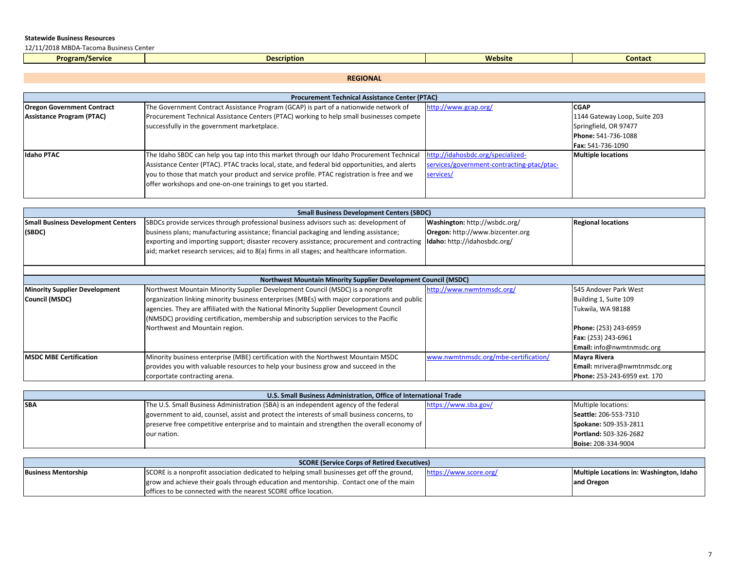12/11/2018 MBDA‐Tacoma Business Center

| <b>Program/Service</b> | <b>Description</b><br>. | <b>Website</b> | Contac |
|------------------------|-------------------------|----------------|--------|
|                        |                         |                |        |

### **REGIONAL**

| <b>Procurement Technical Assistance Center (PTAC)</b> |                                                                                               |                                            |                              |  |
|-------------------------------------------------------|-----------------------------------------------------------------------------------------------|--------------------------------------------|------------------------------|--|
| <b>Oregon Government Contract</b>                     | The Government Contract Assistance Program (GCAP) is part of a nationwide network of          | http://www.gcap.org/                       | <b>CGAP</b>                  |  |
| Assistance Program (PTAC)                             | Procurement Technical Assistance Centers (PTAC) working to help small businesses compete      |                                            | 1144 Gateway Loop, Suite 203 |  |
|                                                       | successfully in the government marketplace.                                                   |                                            | Springfield, OR 97477        |  |
|                                                       |                                                                                               |                                            | Phone: 541-736-1088          |  |
|                                                       |                                                                                               |                                            | Fax: 541-736-1090            |  |
| <b>Idaho PTAC</b>                                     | The Idaho SBDC can help you tap into this market through our Idaho Procurement Technical      | http://idahosbdc.org/specialized-          | <b>Multiple locations</b>    |  |
|                                                       | Assistance Center (PTAC). PTAC tracks local, state, and federal bid opportunities, and alerts | services/government-contracting-ptac/ptac- |                              |  |
|                                                       | you to those that match your product and service profile. PTAC registration is free and we    | services/                                  |                              |  |
|                                                       | offer workshops and one-on-one trainings to get you started.                                  |                                            |                              |  |
|                                                       |                                                                                               |                                            |                              |  |

| <b>Small Business Development Centers (SBDC)</b> |                                                                                                                           |                                  |                           |
|--------------------------------------------------|---------------------------------------------------------------------------------------------------------------------------|----------------------------------|---------------------------|
| <b>Small Business Development Centers</b>        | SBDCs provide services through professional business advisors such as: development of                                     | Washington: http://wsbdc.org/    | <b>Regional locations</b> |
| (SBDC)                                           | business plans; manufacturing assistance; financial packaging and lending assistance;                                     | Oregon: http://www.bizcenter.org |                           |
|                                                  | exporting and importing support; disaster recovery assistance; procurement and contracting   Idaho: http://idahosbdc.org/ |                                  |                           |
|                                                  | aid; market research services; aid to 8(a) firms in all stages; and healthcare information.                               |                                  |                           |
|                                                  |                                                                                                                           |                                  |                           |

| <b>Northwest Mountain Minority Supplier Development Council (MSDC)</b> |                                                                                              |                                      |                                     |  |
|------------------------------------------------------------------------|----------------------------------------------------------------------------------------------|--------------------------------------|-------------------------------------|--|
| <b>Minority Supplier Development</b>                                   | Northwest Mountain Minority Supplier Development Council (MSDC) is a nonprofit               | http://www.nwmtnmsdc.org/            | 545 Andover Park West               |  |
| Council (MSDC)                                                         | organization linking minority business enterprises (MBEs) with major corporations and public |                                      | Building 1, Suite 109               |  |
|                                                                        | agencies. They are affiliated with the National Minority Supplier Development Council        |                                      | Tukwila, WA 98188                   |  |
|                                                                        | (NMSDC) providing certification, membership and subscription services to the Pacific         |                                      |                                     |  |
|                                                                        | Northwest and Mountain region.                                                               |                                      | Phone: (253) 243-6959               |  |
|                                                                        |                                                                                              |                                      | Fax: (253) 243-6961                 |  |
|                                                                        |                                                                                              |                                      | Email: info@nwmtnmsdc.org           |  |
| <b>MSDC MBE Certification</b>                                          | Minority business enterprise (MBE) certification with the Northwest Mountain MSDC            | www.nwmtnmsdc.org/mbe-certification/ | Mayra Rivera                        |  |
|                                                                        | provides you with valuable resources to help your business grow and succeed in the           |                                      | Email: mrivera@nwmtnmsdc.org        |  |
|                                                                        | corportate contracting arena.                                                                |                                      | <b>Phone: 253-243-6959 ext. 170</b> |  |

| U.S. Small Business Administration, Office of International Trade |                                                                                             |                      |                               |
|-------------------------------------------------------------------|---------------------------------------------------------------------------------------------|----------------------|-------------------------------|
| <b>SBA</b>                                                        | The U.S. Small Business Administration (SBA) is an independent agency of the federal        | https://www.sba.gov/ | Multiple locations:           |
|                                                                   | government to aid, counsel, assist and protect the interests of small business concerns, to |                      | Seattle: 206-553-7310         |
|                                                                   | preserve free competitive enterprise and to maintain and strengthen the overall economy of  |                      | Spokane: 509-353-2811         |
|                                                                   | our nation.                                                                                 |                      | <b>Portland: 503-326-2682</b> |
|                                                                   |                                                                                             |                      | Boise: 208-334-9004           |

| <b>SCORE (Service Corps of Retired Executives)</b> |                                                                                            |                        |                                          |
|----------------------------------------------------|--------------------------------------------------------------------------------------------|------------------------|------------------------------------------|
| <b>Business Mentorship</b>                         | SCORE is a nonprofit association dedicated to helping small businesses get off the ground, | https://www.score.org/ | Multiple Locations in: Washington, Idaho |
|                                                    | grow and achieve their goals through education and mentorship. Contact one of the main     |                        | and Oregon                               |
|                                                    | loffices to be connected with the nearest SCORE office location.                           |                        |                                          |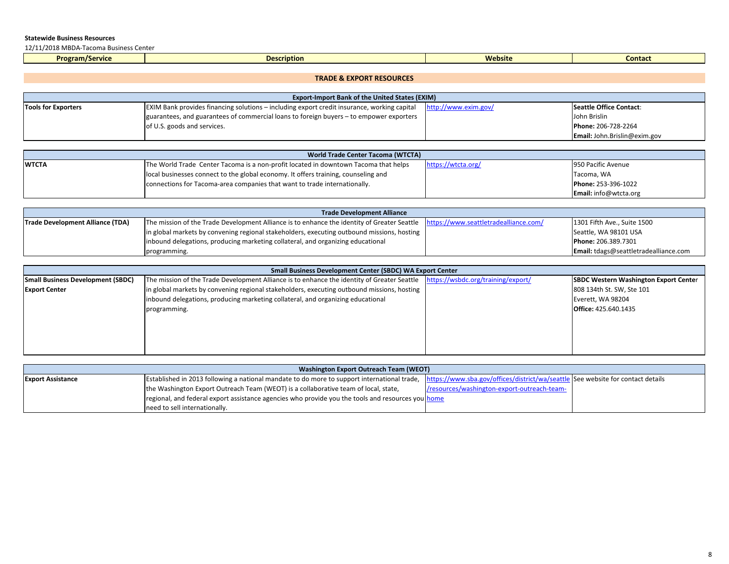12/11/2018 MBDA‐Tacoma Business Center

| <b>Program/Service</b> | <b>Description</b> | <b>Website</b> | <b>Contact</b> |
|------------------------|--------------------|----------------|----------------|
|                        |                    |                |                |

### **TRADE & EXPORT RESOURCES**

| <b>Export-Import Bank of the United States (EXIM)</b> |                                                                                                    |                      |                                |  |
|-------------------------------------------------------|----------------------------------------------------------------------------------------------------|----------------------|--------------------------------|--|
| <b>Tools for Exporters</b>                            | <b>EXIM Bank provides financing solutions – including export credit insurance, working capital</b> | http://www.exim.gov/ | <b>Seattle Office Contact:</b> |  |
|                                                       | guarantees, and guarantees of commercial loans to foreign buyers – to empower exporters            |                      | John Brislin                   |  |
|                                                       | of U.S. goods and services.                                                                        |                      | Phone: 206-728-2264            |  |
|                                                       |                                                                                                    |                      | Email: John.Brislin@exim.gov   |  |

| World Trade Center Tacoma (WTCTA) |                                                                                     |                    |                              |  |
|-----------------------------------|-------------------------------------------------------------------------------------|--------------------|------------------------------|--|
| <b>IWTCTA</b>                     | The World Trade Center Tacoma is a non-profit located in downtown Tacoma that helps | https://wtcta.org/ | 950 Pacific Avenue           |  |
|                                   | local businesses connect to the global economy. It offers training, counseling and  |                    | Tacoma, WA                   |  |
|                                   | connections for Tacoma-area companies that want to trade internationally.           |                    | Phone: 253-396-1022          |  |
|                                   |                                                                                     |                    | <b>Email:</b> info@wtcta.org |  |

| <b>Trade Development Alliance</b>       |                                                                                                                                   |  |                                       |
|-----------------------------------------|-----------------------------------------------------------------------------------------------------------------------------------|--|---------------------------------------|
| <b>Trade Development Alliance (TDA)</b> | The mission of the Trade Development Alliance is to enhance the identity of Greater Seattle https://www.seattletradealliance.com/ |  | 1301 Fifth Ave., Suite 1500           |
|                                         | in global markets by convening regional stakeholders, executing outbound missions, hosting                                        |  | Seattle, WA 98101 USA                 |
|                                         | inbound delegations, producing marketing collateral, and organizing educational                                                   |  | Phone: 206.389.7301                   |
|                                         | programming.                                                                                                                      |  | Email: tdags@seattletradealliance.com |

| <b>Small Business Development Center (SBDC) WA Export Center</b> |                                                                                                                                |  |                                              |  |
|------------------------------------------------------------------|--------------------------------------------------------------------------------------------------------------------------------|--|----------------------------------------------|--|
| Small Business Development (SBDC)                                | The mission of the Trade Development Alliance is to enhance the identity of Greater Seattle https://wsbdc.org/training/export/ |  | <b>SBDC Western Washington Export Center</b> |  |
| <b>Export Center</b>                                             | in global markets by convening regional stakeholders, executing outbound missions, hosting                                     |  | 808 134th St. SW, Ste 101                    |  |
|                                                                  | inbound delegations, producing marketing collateral, and organizing educational                                                |  | Everett, WA 98204                            |  |
|                                                                  | programming.                                                                                                                   |  | Office: 425.640.1435                         |  |
|                                                                  |                                                                                                                                |  |                                              |  |
|                                                                  |                                                                                                                                |  |                                              |  |
|                                                                  |                                                                                                                                |  |                                              |  |
|                                                                  |                                                                                                                                |  |                                              |  |
|                                                                  |                                                                                                                                |  |                                              |  |

| Washington Export Outreach Team (WEOT) |                                                                                                                                                                             |                                             |  |
|----------------------------------------|-----------------------------------------------------------------------------------------------------------------------------------------------------------------------------|---------------------------------------------|--|
| <b>Export Assistance</b>               | Established in 2013 following a national mandate to do more to support international trade, https://www.sba.gov/offices/district/wa/seattle See website for contact details |                                             |  |
|                                        | the Washington Export Outreach Team (WEOT) is a collaborative team of local, state,                                                                                         | /resources/washington-export-outreach-team- |  |
|                                        | regional, and federal export assistance agencies who provide you the tools and resources you home                                                                           |                                             |  |
|                                        | need to sell internationally.                                                                                                                                               |                                             |  |

 $\Box$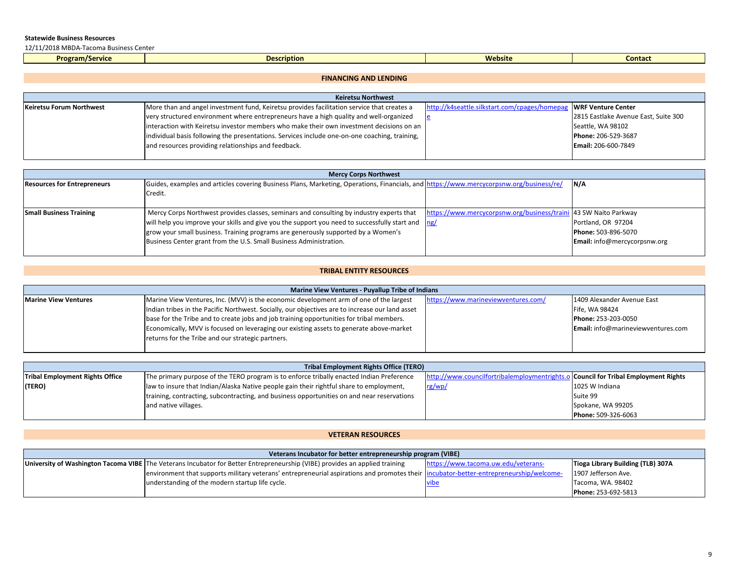12/11/2018 MBDA‐Tacoma Business Center

| ogram/Service<br><b>Prr</b> | ption | <b>Websit</b> | Conta. |
|-----------------------------|-------|---------------|--------|
|                             |       |               |        |

## **FINANCING AND LENDING**

| <b>Keiretsu Northwest</b> |                                                                                               |                                               |                                      |
|---------------------------|-----------------------------------------------------------------------------------------------|-----------------------------------------------|--------------------------------------|
| Keiretsu Forum Northwest  | More than and angel investment fund, Keiretsu provides facilitation service that creates a    | http://k4seattle.silkstart.com/cpages/homepag | WRF Venture Center                   |
|                           | very structured environment where entrepreneurs have a high quality and well-organized        |                                               | 2815 Eastlake Avenue East, Suite 300 |
|                           | interaction with Keiretsu investor members who make their own investment decisions on an      |                                               | Seattle, WA 98102                    |
|                           | individual basis following the presentations. Services include one-on-one coaching, training, |                                               | Phone: 206-529-3687                  |
|                           | and resources providing relationships and feedback.                                           |                                               | <b>Email: 206-600-7849</b>           |
|                           |                                                                                               |                                               |                                      |

| <b>Mercy Corps Northwest</b>       |                                                                                                                                         |                                                                  |                                     |
|------------------------------------|-----------------------------------------------------------------------------------------------------------------------------------------|------------------------------------------------------------------|-------------------------------------|
| <b>Resources for Entrepreneurs</b> | Guides, examples and articles covering Business Plans, Marketing, Operations, Financials, and https://www.mercycorpsnw.org/business/re/ |                                                                  | IN/A                                |
|                                    | Credit.                                                                                                                                 |                                                                  |                                     |
|                                    |                                                                                                                                         |                                                                  |                                     |
| <b>Small Business Training</b>     | Mercy Corps Northwest provides classes, seminars and consulting by industry experts that                                                | https://www.mercycorpsnw.org/business/traini 43 SW Naito Parkway |                                     |
|                                    | will help you improve your skills and give you the support you need to successfully start and $\log$                                    |                                                                  | Portland, OR 97204                  |
|                                    | grow your small business. Training programs are generously supported by a Women's                                                       |                                                                  | Phone: 503-896-5070                 |
|                                    | Business Center grant from the U.S. Small Business Administration.                                                                      |                                                                  | <b>Email:</b> info@mercycorpsnw.org |
|                                    |                                                                                                                                         |                                                                  |                                     |

# **TRIBAL ENTITY RESOURCES**

| Marine View Ventures - Puyallup Tribe of Indians |                                                                                                 |                                     |                                           |  |
|--------------------------------------------------|-------------------------------------------------------------------------------------------------|-------------------------------------|-------------------------------------------|--|
| <b>Marine View Ventures</b>                      | Marine View Ventures, Inc. (MVV) is the economic development arm of one of the largest          | https://www.marineviewventures.com/ | 1409 Alexander Avenue East                |  |
|                                                  | Indian tribes in the Pacific Northwest. Socially, our objectives are to increase our land asset |                                     | Fife, WA 98424                            |  |
|                                                  | base for the Tribe and to create jobs and job training opportunities for tribal members.        |                                     | Phone: 253-203-0050                       |  |
|                                                  | Economically, MVV is focused on leveraging our existing assets to generate above-market         |                                     | <b>Email:</b> info@marineviewventures.com |  |
|                                                  | returns for the Tribe and our strategic partners.                                               |                                     |                                           |  |
|                                                  |                                                                                                 |                                     |                                           |  |

| Tribal Employment Rights Office (TERO) |                                                                                            |                                              |                                         |
|----------------------------------------|--------------------------------------------------------------------------------------------|----------------------------------------------|-----------------------------------------|
| <b>Tribal Employment Rights Office</b> | The primary purpose of the TERO program is to enforce tribally enacted Indian Preference   | http://www.councilfortribalemploymentrights. | .o Council for Tribal Employment Rights |
| (TERO)                                 | law to insure that Indian/Alaska Native people gain their rightful share to employment,    | rg/wp/                                       | 1025 W Indiana                          |
|                                        | training, contracting, subcontracting, and business opportunities on and near reservations |                                              | Suite 99                                |
|                                        | and native villages.                                                                       |                                              | Spokane, WA 99205                       |
|                                        |                                                                                            |                                              | Phone: 509-326-6063                     |

# **VETERAN RESOURCES**

| Veterans Incubator for better entrepreneurship program (VIBE) |                                                                                                                                         |                                     |                                   |
|---------------------------------------------------------------|-----------------------------------------------------------------------------------------------------------------------------------------|-------------------------------------|-----------------------------------|
|                                                               | University of Washington Tacoma VIBE The Veterans Incubator for Better Entrepreneurship (VIBE) provides an applied training             | https://www.tacoma.uw.edu/veterans- | Tioga Library Building (TLB) 307A |
|                                                               | environment that supports military veterans' entrepreneurial aspirations and promotes their lincubator-better-entrepreneurship/welcome- |                                     | 1907 Jefferson Ave.               |
|                                                               | understanding of the modern startup life cycle.                                                                                         |                                     | Tacoma, WA. 98402                 |
|                                                               |                                                                                                                                         |                                     | Phone: 253-692-5813               |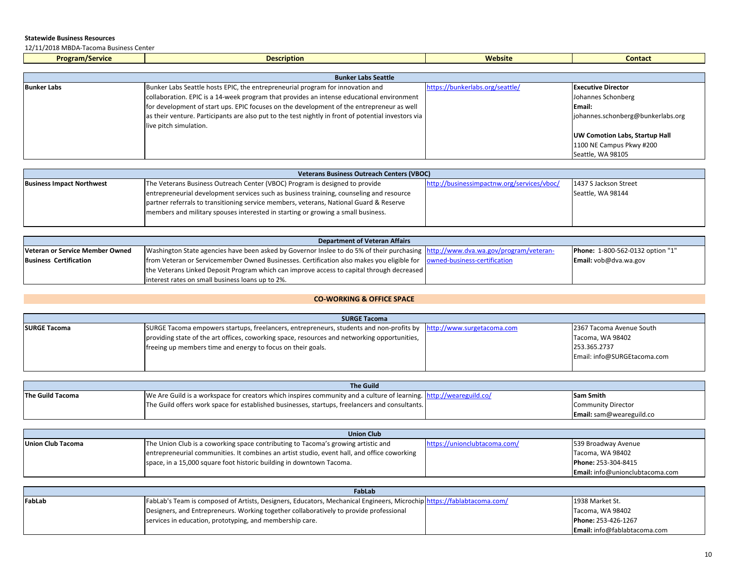12/11/2018 MBDA‐Tacoma Business Center

| <b>Program/Service</b>     | <b>Description</b> | Website | Contac |  |
|----------------------------|--------------------|---------|--------|--|
|                            |                    |         |        |  |
| <b>Bunker Labs Seattle</b> |                    |         |        |  |

| <u>Pannel caps scattle</u> |                                                                                                     |                                 |                                       |
|----------------------------|-----------------------------------------------------------------------------------------------------|---------------------------------|---------------------------------------|
| <b>Bunker Labs</b>         | Bunker Labs Seattle hosts EPIC, the entrepreneurial program for innovation and                      | https://bunkerlabs.org/seattle/ | <b>Executive Director</b>             |
|                            | collaboration. EPIC is a 14-week program that provides an intense educational environment           |                                 | Johannes Schonberg                    |
|                            | for development of start ups. EPIC focuses on the development of the entrepreneur as well           |                                 | Email:                                |
|                            | as their venture. Participants are also put to the test nightly in front of potential investors via |                                 | johannes.schonberg@bunkerlabs.org     |
|                            | live pitch simulation.                                                                              |                                 |                                       |
|                            |                                                                                                     |                                 | <b>UW Comotion Labs, Startup Hall</b> |
|                            |                                                                                                     |                                 | 1100 NE Campus Pkwy #200              |
|                            |                                                                                                     |                                 | Seattle, WA 98105                     |

| <b>Veterans Business Outreach Centers (VBOC)</b> |                                                                                         |                                            |                       |  |
|--------------------------------------------------|-----------------------------------------------------------------------------------------|--------------------------------------------|-----------------------|--|
| <b>Business Impact Northwest</b>                 | The Veterans Business Outreach Center (VBOC) Program is designed to provide             | http://businessimpactnw.org/services/vboc/ | 1437 S Jackson Street |  |
|                                                  | entrepreneurial development services such as business training, counseling and resource |                                            | Seattle, WA 98144     |  |
|                                                  | partner referrals to transitioning service members, veterans, National Guard & Reserve  |                                            |                       |  |
|                                                  | members and military spouses interested in starting or growing a small business.        |                                            |                       |  |
|                                                  |                                                                                         |                                            |                       |  |

| <b>Department of Veteran Affairs</b> |                                                                                                                                  |  |                                         |  |
|--------------------------------------|----------------------------------------------------------------------------------------------------------------------------------|--|-----------------------------------------|--|
| Veteran or Service Member Owned      | Washington State agencies have been asked by Governor Inslee to do 5% of their purchasing http://www.dva.wa.gov/program/veteran- |  | <b>Phone:</b> 1-800-562-0132 option "1" |  |
| <b>Business Certification</b>        | from Veteran or Servicemember Owned Businesses. Certification also makes you eligible for lowned-business-certification          |  | Email: vob@dva.wa.gov                   |  |
|                                      | the Veterans Linked Deposit Program which can improve access to capital through decreased                                        |  |                                         |  |
|                                      | linterest rates on small business loans up to 2%.                                                                                |  |                                         |  |

# **CO‐WORKING & OFFICE SPACE**

| <b>SURGE Tacoma</b> |                                                                                                                    |  |                             |
|---------------------|--------------------------------------------------------------------------------------------------------------------|--|-----------------------------|
| <b>SURGE Tacoma</b> | SURGE Tacoma empowers startups, freelancers, entrepreneurs, students and non-profits by http://www.surgetacoma.com |  | 2367 Tacoma Avenue South    |
|                     | providing state of the art offices, coworking space, resources and networking opportunities,                       |  | Tacoma, WA 98402            |
|                     | freeing up members time and energy to focus on their goals.                                                        |  | 253.365.2737                |
|                     |                                                                                                                    |  | Email: info@SURGEtacoma.com |
|                     |                                                                                                                    |  |                             |

| <b>The Guild</b>                                                                                                                                           |                                                                                                |  |                                 |
|------------------------------------------------------------------------------------------------------------------------------------------------------------|------------------------------------------------------------------------------------------------|--|---------------------------------|
| The Guild Tacoma<br>We Are Guild is a workspace for creators which inspires community and a culture of learning. http://weareguild.co/<br><b>Sam Smith</b> |                                                                                                |  |                                 |
|                                                                                                                                                            | The Guild offers work space for established businesses, startups, freelancers and consultants. |  | <b>Community Director</b>       |
|                                                                                                                                                            |                                                                                                |  | <b>Email:</b> sam@weareguild.co |

| <b>Union Club</b> |                                                                                             |                              |                                        |  |
|-------------------|---------------------------------------------------------------------------------------------|------------------------------|----------------------------------------|--|
| Union Club Tacoma | The Union Club is a coworking space contributing to Tacoma's growing artistic and           | https://unionclubtacoma.com/ | 539 Broadway Avenue                    |  |
|                   | entrepreneurial communities. It combines an artist studio, event hall, and office coworking |                              | Tacoma, WA 98402                       |  |
|                   | space, in a 15,000 square foot historic building in downtown Tacoma.                        |                              | Phone: 253-304-8415                    |  |
|                   |                                                                                             |                              | <b>Email:</b> info@unionclubtacoma.com |  |

| FabLab |                                                                                                                       |  |                                     |  |
|--------|-----------------------------------------------------------------------------------------------------------------------|--|-------------------------------------|--|
| FabLab | FabLab's Team is composed of Artists, Designers, Educators, Mechanical Engineers, Microchip https://fablabtacoma.com/ |  | 1938 Market St.                     |  |
|        | Designers, and Entrepreneurs. Working together collaboratively to provide professional                                |  | Tacoma, WA 98402                    |  |
|        | services in education, prototyping, and membership care.                                                              |  | Phone: 253-426-1267                 |  |
|        |                                                                                                                       |  | <b>Email:</b> info@fablabtacoma.com |  |